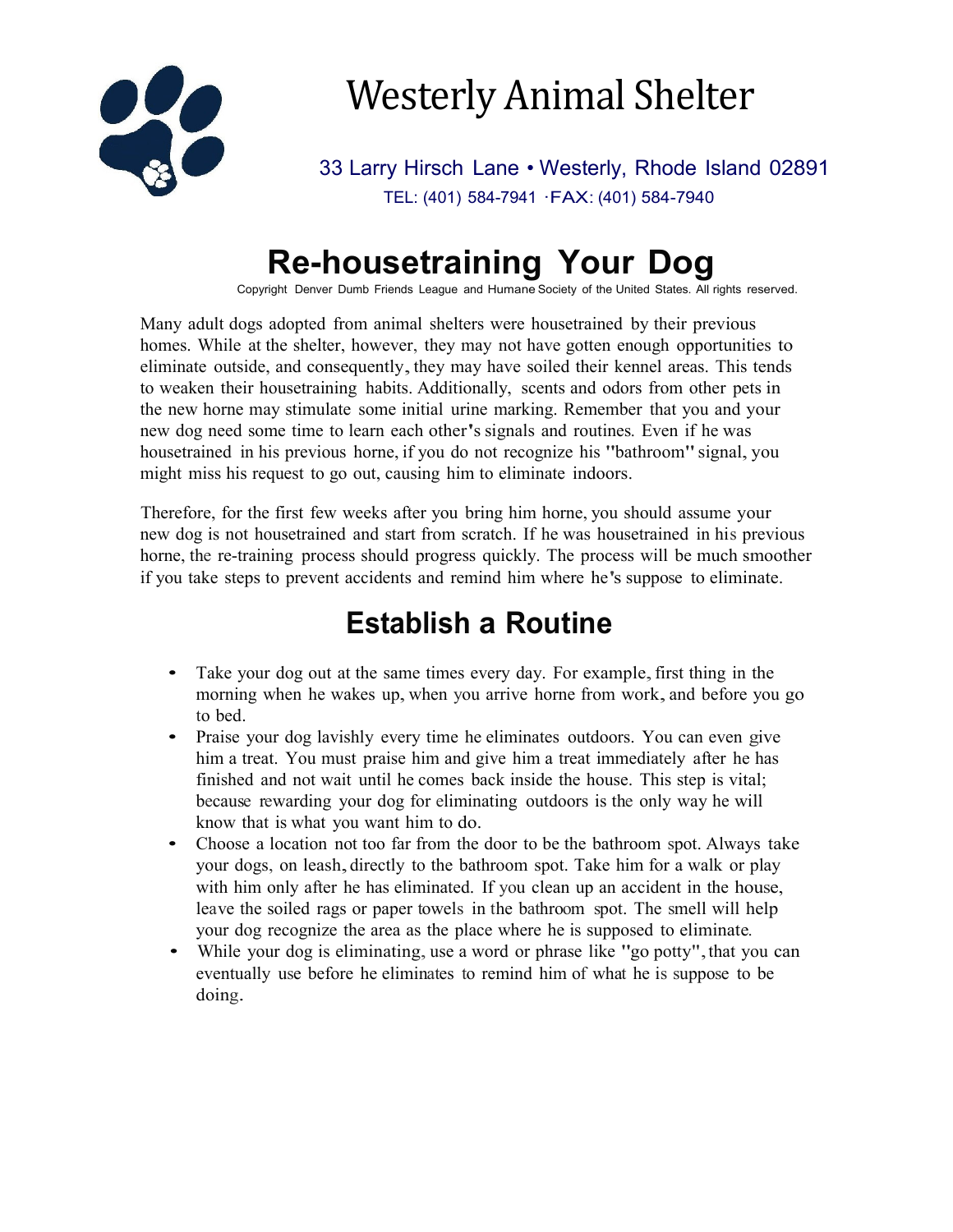

# Westerly Animal Shelter

33 Larry Hirsch Lane • Westerly, Rhode Island 02891 TEL: (401) 584-7941 ·FAX: (401) 584-7940

## **Re-housetraining Your Dog**

Copyright Denver Dumb Friends League and Humane Society of the United States. All rights reserved.

Many adult dogs adopted from animal shelters were housetrained by their previous homes. While at the shelter, however, they may not have gotten enough opportunities to eliminate outside, and consequently, they may have soiled their kennel areas. This tends to weaken their housetraining habits. Additionally, scents and odors from other pets in the new horne may stimulate some initial urine marking. Remember that you and your new dog need some time to learn each other's signals and routines. Even if he was housetrained in his previous horne, if you do not recognize his "bathroom"signal, you might miss his request to go out, causing him to eliminate indoors.

Therefore, for the first few weeks after you bring him horne, you should assume your new dog is not housetrained and start from scratch. If he was housetrained in his previous horne, the re-training process should progress quickly. The process will be much smoother if you take steps to prevent accidents and remind him where he's suppose to eliminate.

### **Establish a Routine**

- Take your dog out at the same times every day. For example, first thing in the morning when he wakes up, when you arrive horne from work, and before you go to bed.
- Praise your dog lavishly every time he eliminates outdoors. You can even give him a treat. You must praise him and give him a treat immediately after he has finished and not wait until he comes back inside the house. This step is vital; because rewarding your dog for eliminating outdoors is the only way he will know that is what you want him to do.
- Choose a location not too far from the door to be the bathroom spot. Always take your dogs, on leash,directly to the bathroom spot. Take him for <sup>a</sup> walk or play with him only after he has eliminated. If you clean up an accident in the house, leave the soiled rags or paper towels in the bathroom spot. The smell will help your dog recognize the area as the place where he is supposed to eliminate.
- While your dog is eliminating, use a word or phrase like "go potty", that you can eventually use before he eliminates to remind him of what he is suppose to be doing.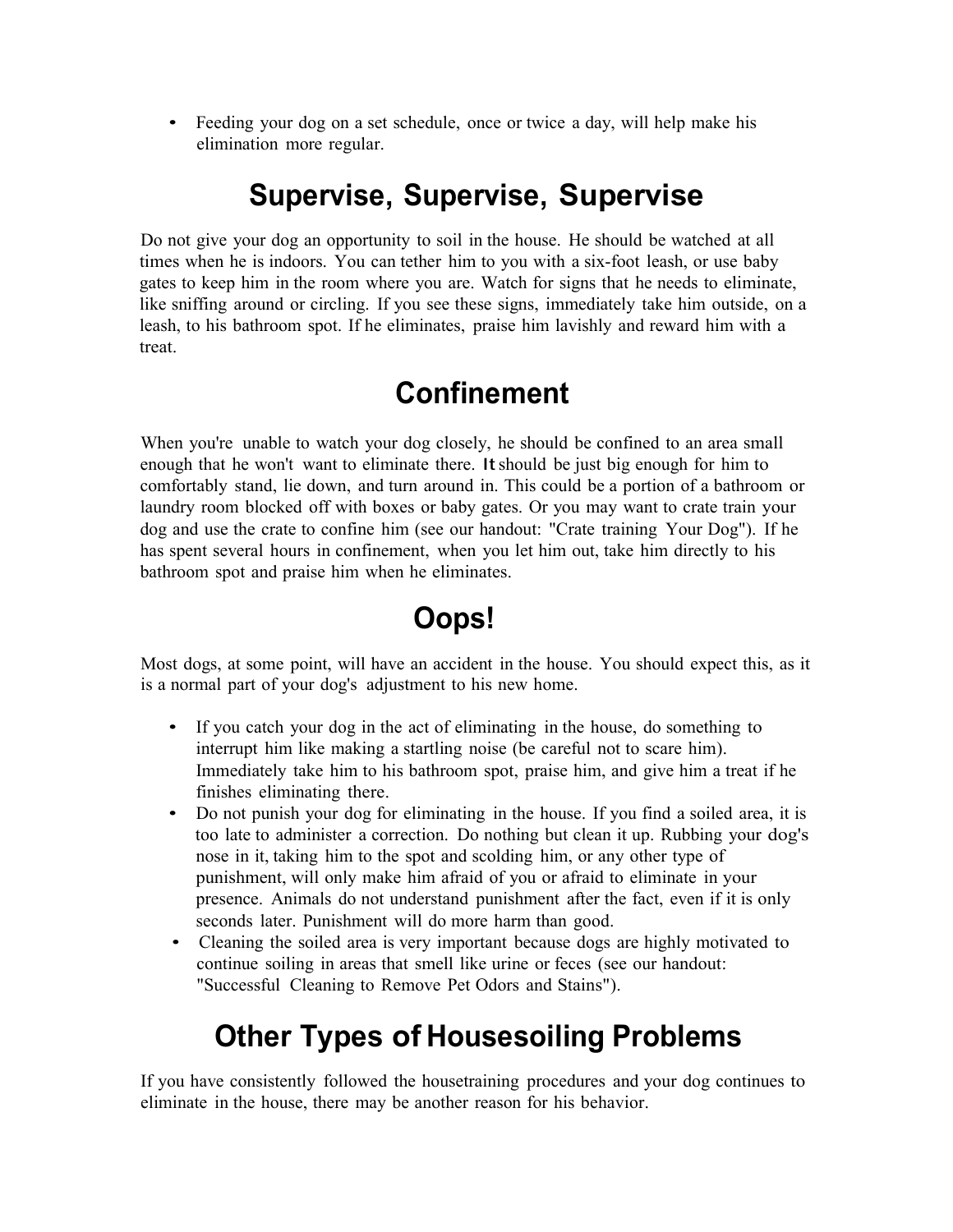• Feeding your dog on a set schedule, once or twice a day, will help make his elimination more regular.

#### **Supervise, Supervise, Supervise**

Do not give your dog an opportunity to soil in the house. He should be watched at all times when he is indoors. You can tether him to you with a six-foot leash, or use baby gates to keep him in the room where you are. Watch for signs that he needs to eliminate, like sniffing around or circling. If you see these signs, immediately take him outside, on a leash, to his bathroom spot. If he eliminates, praise him lavishly and reward him with a treat.

#### **Confinement**

When you're unable to watch your dog closely, he should be confined to an area small enough that he won't want to eliminate there. It should be just big enough for him to comfortably stand, lie down, and turn around in. This could be a portion of a bathroom or laundry room blocked off with boxes or baby gates. Or you may want to crate train your dog and use the crate to confine him (see our handout: "Crate training Your Dog"). If he has spent several hours in confinement, when you let him out, take him directly to his bathroom spot and praise him when he eliminates.

#### **Oops!**

Most dogs, at some point, will have an accident in the house. You should expect this, as it is a normal part of your dog's adjustment to his new home.

- If you catch your dog in the act of eliminating in the house, do something to interrupt him like making a startling noise (be careful not to scare him). Immediately take him to his bathroom spot, praise him, and give him a treat if he finishes eliminating there.
- Do not punish your dog for eliminating in the house. If you find a soiled area, it is too late to administer a correction. Do nothing but clean it up. Rubbing your dog's nose in it, taking him to the spot and scolding him, or any other type of punishment, will only make him afraid of you or afraid to eliminate in your presence. Animals do not understand punishment after the fact, even if it is only seconds later. Punishment will do more harm than good.
- Cleaning the soiled area is very important because dogs are highly motivated to continue soiling in areas that smell like urine or feces (see our handout: "Successful Cleaning to Remove Pet Odors and Stains").

#### **Other Types of Housesoiling Problems**

If you have consistently followed the housetraining procedures and your dog continues to eliminate in the house, there may be another reason for his behavior.